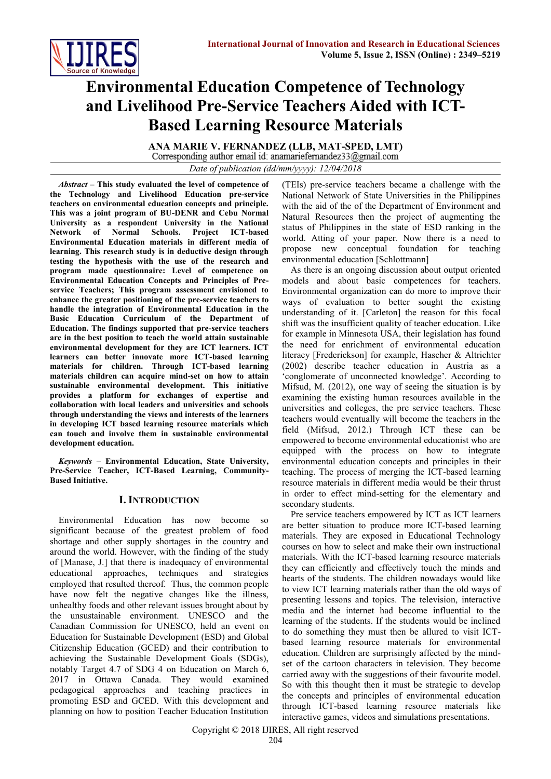

# **Environmental Education Competence of Technology and Livelihood Pre-Service Teachers Aided with ICT-Based Learning Resource Materials**

**ANA MARIE V. FERNANDEZ (LLB, MAT-SPED, LMT)** *Date of publication (dd/mm/yyyy): 12/04/2018*

*Abstract* **– This study evaluated the level of competence of the Technology and Livelihood Education pre-service teachers on environmental education concepts and principle. This was a joint program of BU-DENR and Cebu Normal University as a respondent University in the National Network of Normal Schools. Project ICT-based Environmental Education materials in different media of learning. This research study is in deductive design through testing the hypothesis with the use of the research and program made questionnaire: Level of competence on Environmental Education Concepts and Principles of Preservice Teachers; This program assessment envisioned to enhance the greater positioning of the pre-service teachers to handle the integration of Environmental Education in the Basic Education Curriculum of the Department of Education. The findings supported that pre-service teachers are in the best position to teach the world attain sustainable environmental development for they are ICT learners. ICT learners can better innovate more ICT-based learning materials for children. Through ICT-based learning materials children can acquire mind-set on how to attain sustainable environmental development. This initiative provides a platform for exchanges of expertise and collaboration with local leaders and universities and schools through understanding the views and interests of the learners in developing ICT based learning resource materials which can touch and involve them in sustainable environmental development education.**

*Keywords* **– Environmental Education, State University, Pre-Service Teacher, ICT-Based Learning, Community-Based Initiative.**

## **I. INTRODUCTION**

Environmental Education has now become so significant because of the greatest problem of food shortage and other supply shortages in the country and around the world. However, with the finding of the study of [Manase, J.] that there is inadequacy of environmental educational approaches, techniques and strategies employed that resulted thereof. Thus, the common people have now felt the negative changes like the illness, unhealthy foods and other relevant issues brought about by the unsustainable environment. UNESCO and the Canadian Commission for UNESCO, held an event on Education for Sustainable Development (ESD) and Global Citizenship Education (GCED) and their contribution to achieving the Sustainable Development Goals (SDGs), notably Target 4.7 of SDG 4 on Education on March 6, 2017 in Ottawa Canada. They would examined pedagogical approaches and teaching practices in promoting ESD and GCED. With this development and planning on how to position Teacher Education Institution

(TEIs) pre-service teachers became a challenge with the National Network of State Universities in the Philippines with the aid of the of the Department of Environment and Natural Resources then the project of augmenting the status of Philippines in the state of ESD ranking in the world. Atting of your paper. Now there is a need to propose new conceptual foundation for teaching environmental education [Schlottmann]

As there is an ongoing discussion about output oriented models and about basic competences for teachers. Environmental organization can do more to improve their ways of evaluation to better sought the existing understanding of it. [Carleton] the reason for this focal shift was the insufficient quality of teacher education. Like for example in Minnesota USA, their legislation has found the need for enrichment of environmental education literacy [Frederickson] for example, Hascher & Altrichter (2002) describe teacher education in Austria as a 'conglomerate of unconnected knowledge'. According to Mifsud, M. (2012), one way of seeing the situation is by examining the existing human resources available in the universities and colleges, the pre service teachers. These teachers would eventually will become the teachers in the field (Mifsud, 2012.) Through ICT these can be empowered to become environmental educationist who are equipped with the process on how to integrate environmental education concepts and principles in their teaching. The process of merging the ICT-based learning resource materials in different media would be their thrust in order to effect mind-setting for the elementary and secondary students.

Pre service teachers empowered by ICT as ICT learners are better situation to produce more ICT-based learning materials. They are exposed in Educational Technology courses on how to select and make their own instructional materials. With the ICT-based learning resource materials they can efficiently and effectively touch the minds and hearts of the students. The children nowadays would like to view ICT learning materials rather than the old ways of presenting lessons and topics. The television, interactive media and the internet had become influential to the learning of the students. If the students would be inclined to do something they must then be allured to visit ICTbased learning resource materials for environmental education. Children are surprisingly affected by the mindset of the cartoon characters in television. They become carried away with the suggestions of their favourite model. So with this thought then it must be strategic to develop the concepts and principles of environmental education through ICT-based learning resource materials like interactive games, videos and simulations presentations.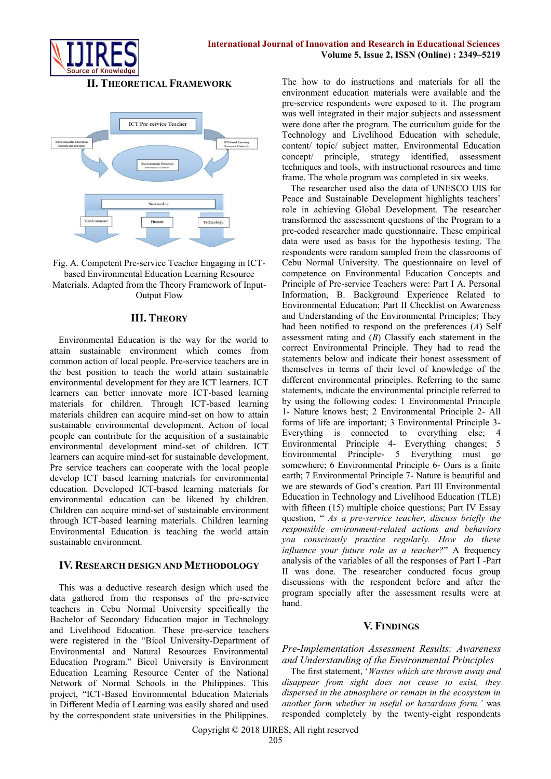## **II. THEORETICAL FRAMEWORK**





## **III. THEORY**

Environmental Education is the way for the world to attain sustainable environment which comes from common action of local people. Pre-service teachers are in the best position to teach the world attain sustainable environmental development for they are ICT learners. ICT learners can better innovate more ICT-based learning materials for children. Through ICT-based learning materials children can acquire mind-set on how to attain sustainable environmental development. Action of local people can contribute for the acquisition of a sustainable environmental development mind-set of children. ICT learners can acquire mind-set for sustainable development. Pre service teachers can cooperate with the local people develop ICT based learning materials for environmental education. Developed ICT-based learning materials for environmental education can be likened by children. Children can acquire mind-set of sustainable environment through ICT-based learning materials. Children learning Environmental Education is teaching the world attain sustainable environment.

#### **IV. RESEARCH DESIGN AND METHODOLOGY**

This was a deductive research design which used the data gathered from the responses of the pre-service teachers in Cebu Normal University specifically the Bachelor of Secondary Education major in Technology and Livelihood Education. These pre-service teachers were registered in the "Bicol University-Department of Environmental and Natural Resources Environmental Education Program." Bicol University is Environment Education Learning Resource Center of the National Network of Normal Schools in the Philippines. This project, "ICT-Based Environmental Education Materials in Different Media of Learning was easily shared and used by the correspondent state universities in the Philippines.

The how to do instructions and materials for all the environment education materials were available and the pre-service respondents were exposed to it. The program was well integrated in their major subjects and assessment were done after the program. The curriculum guide for the Technology and Livelihood Education with schedule, content/ topic/ subject matter, Environmental Education concept/ principle, strategy identified, assessment techniques and tools, with instructional resources and time frame. The whole program was completed in six weeks.

The researcher used also the data of UNESCO UIS for Peace and Sustainable Development highlights teachers' role in achieving Global Development. The researcher transformed the assessment questions of the Program to a pre-coded researcher made questionnaire. These empirical data were used as basis for the hypothesis testing. The respondents were random sampled from the classrooms of Cebu Normal University. The questionnaire on level of competence on Environmental Education Concepts and Principle of Pre-service Teachers were: Part I A. Personal Information, B. Background Experience Related to Environmental Education; Part II Checklist on Awareness and Understanding of the Environmental Principles; They had been notified to respond on the preferences (*A*) Self assessment rating and (*B*) Classify each statement in the correct Environmental Principle. They had to read the statements below and indicate their honest assessment of themselves in terms of their level of knowledge of the different environmental principles. Referring to the same statements, indicate the environmental principle referred to by using the following codes: 1 Environmental Principle 1- Nature knows best; 2 Environmental Principle 2- All forms of life are important; 3 Environmental Principle 3- Everything is connected to everything else; 4 Environmental Principle 4- Everything changes; 5 Environmental Principle- 5 Everything must go somewhere; 6 Environmental Principle 6- Ours is a finite earth; 7 Environmental Principle 7- Nature is beautiful and we are stewards of God's creation. Part III Environmental Education in Technology and Livelihood Education (TLE) with fifteen (15) multiple choice questions; Part IV Essay question, " *As a pre-service teacher, discuss briefly the responsible environment-related actions and behaviors you consciously practice regularly. How do these influence your future role as a teacher?*" A frequency analysis of the variables of all the responses of Part I -Part II was done. The researcher conducted focus group discussions with the respondent before and after the program specially after the assessment results were at hand.

#### **V. FINDINGS**

*Pre-Implementation Assessment Results: Awareness and Understanding of the Environmental Principles*

The first statement, '*Wastes which are thrown away and disappear from sight does not cease to exist, they dispersed in the atmosphere or remain in the ecosystem in another form whether in useful or hazardous form,'* was responded completely by the twenty-eight respondents

Copyright © 2018 IJIRES, All right reserved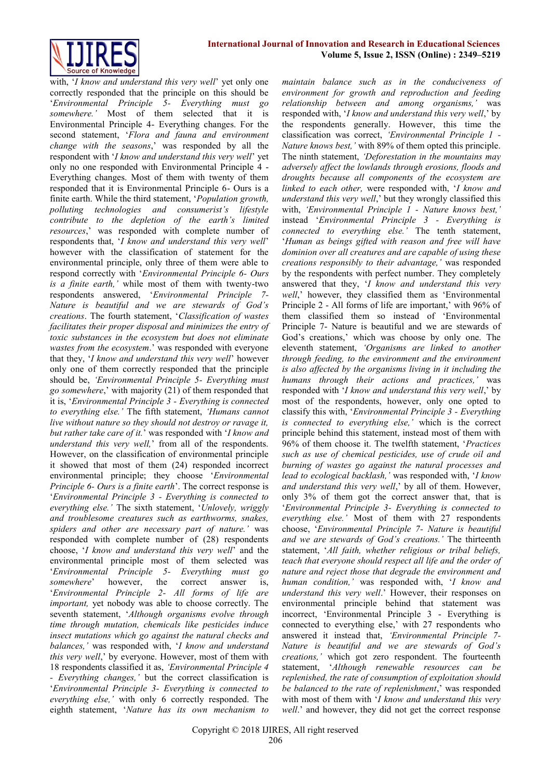

with, '*I know and understand this very well*' yet only one correctly responded that the principle on this should be '*Environmental Principle 5- Everything must go somewhere.'* Most of them selected that it is Environmental Principle 4- Everything changes. For the second statement, '*Flora and fauna and environment change with the seasons*,' was responded by all the respondent with '*I know and understand this very well*' yet only no one responded with Environmental Principle 4 - Everything changes. Most of them with twenty of them responded that it is Environmental Principle 6- Ours is a finite earth. While the third statement, '*Population growth, polluting technologies and consumerist's lifestyle contribute to the depletion of the earth's limited resources*,' was responded with complete number of respondents that, '*I know and understand this very well*' however with the classification of statement for the environmental principle, only three of them were able to respond correctly with '*Environmental Principle 6- Ours is a finite earth,'* while most of them with twenty-two respondents answered, '*Environmental Principle 7- Nature is beautiful and we are stewards of God's creations*. The fourth statement, '*Classification of wastes facilitates their proper disposal and minimizes the entry of toxic substances in the ecosystem but does not eliminate wastes from the ecosystem*.' was responded with everyone that they, '*I know and understand this very well*' however only one of them correctly responded that the principle should be, *'Environmental Principle 5- Everything must go somewhere*,' with majority (21) of them responded that it is, '*Environmental Principle 3 - Everything is connected to everything else.'* The fifth statement, *'Humans cannot live without nature so they should not destroy or ravage it, but rather take care of it.*' was responded with '*I know and understand this very well,*' from all of the respondents. However, on the classification of environmental principle it showed that most of them (24) responded incorrect environmental principle; they choose '*Environmental Principle 6- Ours is a finite earth*'. The correct response is '*Environmental Principle 3 - Everything is connected to everything else.'* The sixth statement, '*Unlovely, wriggly and troublesome creatures such as earthworms, snakes, spiders and other are necessary part of nature.'* was responded with complete number of (28) respondents choose, '*I know and understand this very well*' and the environmental principle most of them selected was '*Environmental Principle 5- Everything must go somewhere*' however, the correct answer is, '*Environmental Principle 2- All forms of life are important,* yet nobody was able to choose correctly. The seventh statement, '*Although organisms evolve through time through mutation, chemicals like pesticides induce insect mutations which go against the natural checks and balances,'* was responded with, '*I know and understand this very well*,' by everyone. However, most of them with 18 respondents classified it as, *'Environmental Principle 4 - Everything changes,'* but the correct classification is '*Environmental Principle 3- Everything is connected to everything else,'* with only 6 correctly responded. The eighth statement, '*Nature has its own mechanism to* 

*maintain balance such as in the conduciveness of environment for growth and reproduction and feeding relationship between and among organisms,'* was responded with, '*I know and understand this very well*,' by the respondents generally. However, this time the classification was correct, *'Environmental Principle 1 - Nature knows best,'* with 89% of them opted this principle. The ninth statement, *'Deforestation in the mountains may adversely affect the lowlands through erosions, floods and droughts because all components of the ecosystem are linked to each other,* were responded with, '*I know and understand this very well*,' but they wrongly classified this with, *'Environmental Principle 1 - Nature knows best,'*  instead '*Environmental Principle 3 - Everything is connected to everything else.'* The tenth statement, '*Human as beings gifted with reason and free will have dominion over all creatures and are capable of using these creations responsibly to their advantage,'* was responded by the respondents with perfect number. They completely answered that they, '*I know and understand this very well*,' however, they classified them as 'Environmental Principle 2 - All forms of life are important,' with 96% of them classified them so instead of 'Environmental Principle 7- Nature is beautiful and we are stewards of God's creations,' which was choose by only one. The eleventh statement, *'Organisms are linked to another through feeding, to the environment and the environment is also affected by the organisms living in it including the humans through their actions and practices,'* was responded with '*I know and understand this very well*,' by most of the respondents, however, only one opted to classify this with, '*Environmental Principle 3 - Everything is connected to everything else,'* which is the correct principle behind this statement, instead most of them with 96% of them choose it. The twelfth statement, '*Practices such as use of chemical pesticides, use of crude oil and burning of wastes go against the natural processes and lead to ecological backlash,'* was responded with, '*I know and understand this very well*,' by all of them. However, only 3% of them got the correct answer that, that is '*Environmental Principle 3- Everything is connected to everything else.'* Most of them with 27 respondents choose, '*Environmental Principle 7- Nature is beautiful and we are stewards of God's creations.'* The thirteenth statement, '*All faith, whether religious or tribal beliefs, teach that everyone should respect all life and the order of nature and reject those that degrade the environment and human condition,'* was responded with, '*I know and understand this very well*.' However, their responses on environmental principle behind that statement was incorrect, 'Environmental Principle 3 - Everything is connected to everything else,' with 27 respondents who answered it instead that, *'Environmental Principle 7- Nature is beautiful and we are stewards of God's creations,'* which got zero respondent. The fourteenth statement, '*Although renewable resources can be replenished, the rate of consumption of exploitation should be balanced to the rate of replenishment*,' was responded with most of them with '*I know and understand this very well*.' and however, they did not get the correct response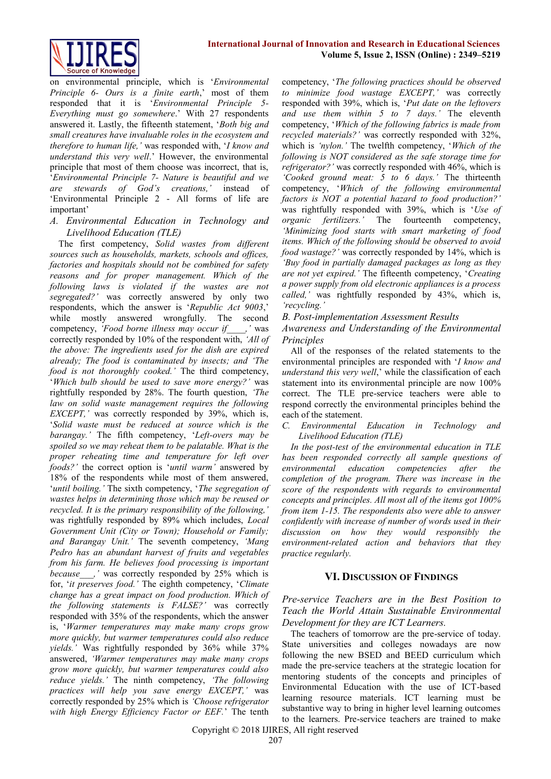

on environmental principle, which is '*Environmental Principle 6- Ours is a finite earth*,' most of them responded that it is '*Environmental Principle 5- Everything must go somewhere*.' With 27 respondents answered it. Lastly, the fifteenth statement, '*Both big and small creatures have invaluable roles in the ecosystem and therefore to human life,'* was responded with, '*I know and understand this very well*.' However, the environmental principle that most of them choose was incorrect, that is, '*Environmental Principle 7- Nature is beautiful and we are stewards of God's creations,'* instead of 'Environmental Principle 2 - All forms of life are important'

*A. Environmental Education in Technology and Livelihood Education (TLE)*

The first competency, *Solid wastes from different sources such as households, markets, schools and offices, factories and hospitals should not be combined for safety reasons and for proper management. Which of the following laws is violated if the wastes are not segregated?'* was correctly answered by only two respondents, which the answer is '*Republic Act 9003*,' while mostly answered wrongfully. The second competency, *'Food borne illness may occur if\_\_\_\_,'* was correctly responded by 10% of the respondent with, *'All of the above: The ingredients used for the dish are expired already; The food is contaminated by insects; and 'The food is not thoroughly cooked.'* The third competency, '*Which bulb should be used to save more energy?'* was rightfully responded by 28%. The fourth question, *'The law on solid waste management requires the following EXCEPT*, ' was correctly responded by 39%, which is, '*Solid waste must be reduced at source which is the barangay.'* The fifth competency, '*Left-overs may be spoiled so we may reheat them to be palatable. What is the proper reheating time and temperature for left over foods?'* the correct option is '*until warm'* answered by 18% of the respondents while most of them answered, '*until boiling.'* The sixth competency, '*The segregation of wastes helps in determining those which may be reused or recycled. It is the primary responsibility of the following,'*  was rightfully responded by 89% which includes, *Local Government Unit (City or Town); Household or Family; and Barangay Unit.'* The seventh competency, *'Mang Pedro has an abundant harvest of fruits and vegetables from his farm. He believes food processing is important because* , ' was correctly responded by 25% which is for, '*it preserves food.'* The eighth competency, '*Climate change has a great impact on food production. Which of the following statements is FALSE?'* was correctly responded with 35% of the respondents, which the answer is, '*Warmer temperatures may make many crops grow more quickly, but warmer temperatures could also reduce yields.'* Was rightfully responded by 36% while 37% answered, *'Warmer temperatures may make many crops grow more quickly, but warmer temperatures could also reduce yields.'* The ninth competency, *'The following practices will help you save energy EXCEPT,'* was correctly responded by 25% which is *'Choose refrigerator with high Energy Efficiency Factor or EEF.*' The tenth

competency, '*The following practices should be observed to minimize food wastage EXCEPT,'* was correctly responded with 39%, which is, '*Put date on the leftovers and use them within 5 to 7 days.'* The eleventh competency, '*Which of the following fabrics is made from recycled materials?'* was correctly responded with 32%, which is *'nylon.'* The twelfth competency, '*Which of the following is NOT considered as the safe storage time for refrigerator?'* was correctly responded with 46%, which is *'Cooked ground meat: 5 to 6 days.'* The thirteenth competency, '*Which of the following environmental factors is NOT a potential hazard to food production?'*  was rightfully responded with 39%, which is '*Use of organic fertilizers.'* The fourteenth competency, *'Minimizing food starts with smart marketing of food items. Which of the following should be observed to avoid food wastage?'* was correctly responded by 14%, which is *'Buy food in partially damaged packages as long as they are not yet expired.'* The fifteenth competency, '*Creating a power supply from old electronic appliances is a process called,'* was rightfully responded by 43%, which is, *'recycling.'* 

*B. Post-implementation Assessment Results*

*Awareness and Understanding of the Environmental Principles* 

All of the responses of the related statements to the environmental principles are responded with '*I know and understand this very well*,' while the classification of each statement into its environmental principle are now 100% correct. The TLE pre-service teachers were able to respond correctly the environmental principles behind the each of the statement.

*C. Environmental Education in Technology and Livelihood Education (TLE)*

*In the post-test of the environmental education in TLE has been responded correctly all sample questions of environmental education competencies after the completion of the program. There was increase in the score of the respondents with regards to environmental concepts and principles. All most all of the items got 100% from item 1-15. The respondents also were able to answer confidently with increase of number of words used in their discussion on how they would responsibly the environment-related action and behaviors that they practice regularly.*

## **VI. DISCUSSION OF FINDINGS**

*Pre-service Teachers are in the Best Position to Teach the World Attain Sustainable Environmental Development for they are ICT Learners.* 

The teachers of tomorrow are the pre-service of today. State universities and colleges nowadays are now following the new BSED and BEED curriculum which made the pre-service teachers at the strategic location for mentoring students of the concepts and principles of Environmental Education with the use of ICT-based learning resource materials. ICT learning must be substantive way to bring in higher level learning outcomes to the learners. Pre-service teachers are trained to make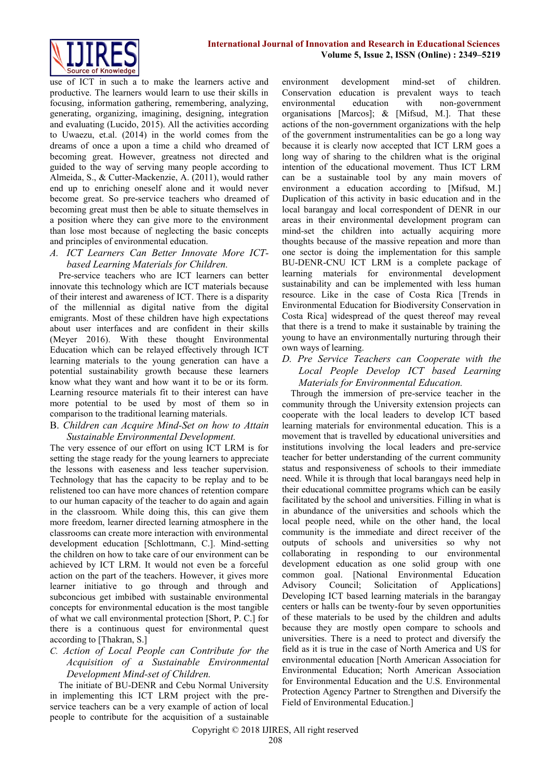use of ICT in such a to make the learners active and productive. The learners would learn to use their skills in focusing, information gathering, remembering, analyzing, generating, organizing, imagining, designing, integration and evaluating (Lucido, 2015). All the activities according to Uwaezu, et.al. (2014) in the world comes from the dreams of once a upon a time a child who dreamed of becoming great. However, greatness not directed and guided to the way of serving many people according to Almeida, S., & Cutter-Mackenzie, A. (2011), would rather end up to enriching oneself alone and it would never become great. So pre-service teachers who dreamed of becoming great must then be able to situate themselves in a position where they can give more to the environment than lose most because of neglecting the basic concepts and principles of environmental education.

### *A. ICT Learners Can Better Innovate More ICTbased Learning Materials for Children.*

Pre-service teachers who are ICT learners can better innovate this technology which are ICT materials because of their interest and awareness of ICT. There is a disparity of the millennial as digital native from the digital emigrants. Most of these children have high expectations about user interfaces and are confident in their skills (Meyer 2016). With these thought Environmental Education which can be relayed effectively through ICT learning materials to the young generation can have a potential sustainability growth because these learners know what they want and how want it to be or its form. Learning resource materials fit to their interest can have more potential to be used by most of them so in comparison to the traditional learning materials.

#### B. *Children can Acquire Mind-Set on how to Attain Sustainable Environmental Development.*

The very essence of our effort on using ICT LRM is for setting the stage ready for the young learners to appreciate the lessons with easeness and less teacher supervision. Technology that has the capacity to be replay and to be relistened too can have more chances of retention compare to our human capacity of the teacher to do again and again in the classroom. While doing this, this can give them more freedom, learner directed learning atmosphere in the classrooms can create more interaction with environmental development education [Schlottmann, C.]. Mind-setting the children on how to take care of our environment can be achieved by ICT LRM. It would not even be a forceful action on the part of the teachers. However, it gives more learner initiative to go through and through and subconcious get imbibed with sustainable environmental concepts for environmental education is the most tangible of what we call environmental protection [Short, P. C.] for there is a continuous quest for environmental quest according to [Thakran, S.]

## *C. Action of Local People can Contribute for the Acquisition of a Sustainable Environmental Development Mind-set of Children.*

The initiate of BU-DENR and Cebu Normal University in implementing this ICT LRM project with the preservice teachers can be a very example of action of local people to contribute for the acquisition of a sustainable environment development mind-set of children. Conservation education is prevalent ways to teach environmental education with non-government organisations [Marcos]; & [Mifsud, M.]. That these actions of the non-government organizations with the help of the government instrumentalities can be go a long way because it is clearly now accepted that ICT LRM goes a long way of sharing to the children what is the original intention of the educational movement. Thus ICT LRM can be a sustainable tool by any main movers of environment a education according to [Mifsud, M.] Duplication of this activity in basic education and in the local barangay and local correspondent of DENR in our areas in their environmental development program can mind-set the children into actually acquiring more thoughts because of the massive repeation and more than one sector is doing the implementation for this sample BU-DENR-CNU ICT LRM is a complete package of learning materials for environmental development sustainability and can be implemented with less human resource. Like in the case of Costa Rica [Trends in Environmental Education for Biodiversity Conservation in Costa Rica] widespread of the quest thereof may reveal that there is a trend to make it sustainable by training the young to have an environmentally nurturing through their own ways of learning.

## *D. Pre Service Teachers can Cooperate with the Local People Develop ICT based Learning Materials for Environmental Education.*

Through the immersion of pre-service teacher in the community through the University extension projects can cooperate with the local leaders to develop ICT based learning materials for environmental education. This is a movement that is travelled by educational universities and institutions involving the local leaders and pre-service teacher for better understanding of the current community status and responsiveness of schools to their immediate need. While it is through that local barangays need help in their educational committee programs which can be easily facilitated by the school and universities. Filling in what is in abundance of the universities and schools which the local people need, while on the other hand, the local community is the immediate and direct receiver of the outputs of schools and universities so why not collaborating in responding to our environmental development education as one solid group with one common goal. [National Environmental Education Advisory Council; Solicitation of Applications] Developing ICT based learning materials in the barangay centers or halls can be twenty-four by seven opportunities of these materials to be used by the children and adults because they are mostly open compare to schools and universities. There is a need to protect and diversify the field as it is true in the case of North America and US for environmental education [North American Association for Environmental Education; North American Association for Environmental Education and the U.S. Environmental Protection Agency Partner to Strengthen and Diversify the Field of Environmental Education.]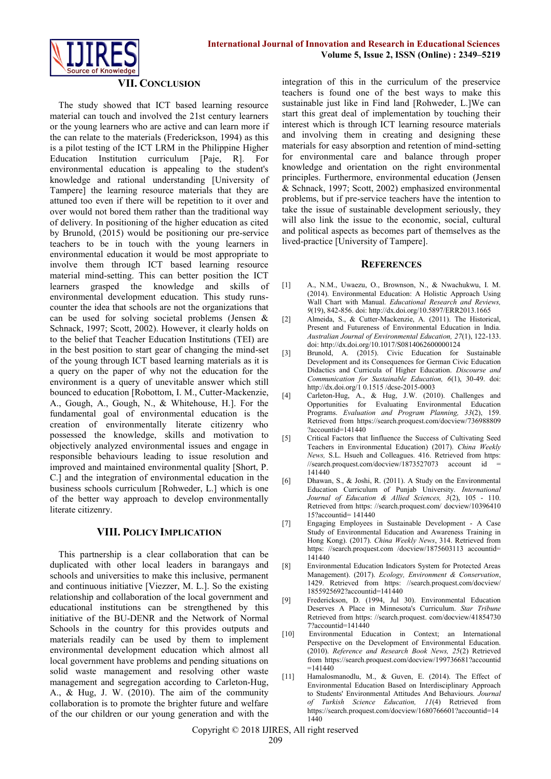

### **VII. CONCLUSION**

The study showed that ICT based learning resource material can touch and involved the 21st century learners or the young learners who are active and can learn more if the can relate to the materials (Frederickson, 1994) as this is a pilot testing of the ICT LRM in the Philippine Higher Education Institution curriculum [Paje, R]. For environmental education is appealing to the student's knowledge and rational understanding [University of Tampere] the learning resource materials that they are attuned too even if there will be repetition to it over and over would not bored them rather than the traditional way of delivery. In positioning of the higher education as cited by Brunold, (2015) would be positioning our pre-service teachers to be in touch with the young learners in environmental education it would be most appropriate to involve them through ICT based learning resource material mind-setting. This can better position the ICT learners grasped the knowledge and skills of environmental development education. This study runscounter the idea that schools are not the organizations that can be used for solving societal problems (Jensen & Schnack, 1997; Scott, 2002). However, it clearly holds on to the belief that Teacher Education Institutions (TEI) are in the best position to start gear of changing the mind-set of the young through ICT based learning materials as it is a query on the paper of why not the education for the environment is a query of unevitable answer which still bounced to education [Robottom, I. M., Cutter-Mackenzie, A., Gough, A., Gough, N., & Whitehouse, H.]. For the fundamental goal of environmental education is the creation of environmentally literate citizenry who possessed the knowledge, skills and motivation to objectively analyzed environmental issues and engage in responsible behaviours leading to issue resolution and improved and maintained environmental quality [Short, P. C.] and the integration of environmental education in the business schools curriculum [Rohweder, L.] which is one of the better way approach to develop environmentally literate citizenry.

#### **VIII. POLICY IMPLICATION**

This partnership is a clear collaboration that can be duplicated with other local leaders in barangays and schools and universities to make this inclusive, permanent and continuous initiative [Viezzer, M. L.]. So the existing relationship and collaboration of the local government and educational institutions can be strengthened by this initiative of the BU-DENR and the Network of Normal Schools in the country for this provides outputs and materials readily can be used by them to implement environmental development education which almost all local government have problems and pending situations on solid waste management and resolving other waste management and segregation according to Carleton-Hug, A., & Hug, J. W. (2010). The aim of the community collaboration is to promote the brighter future and welfare of the our children or our young generation and with the

integration of this in the curriculum of the preservice teachers is found one of the best ways to make this sustainable just like in Find land [Rohweder, L.]We can start this great deal of implementation by touching their interest which is through ICT learning resource materials and involving them in creating and designing these materials for easy absorption and retention of mind-setting for environmental care and balance through proper knowledge and orientation on the right environmental principles. Furthermore, environmental education (Jensen & Schnack, 1997; Scott, 2002) emphasized environmental problems, but if pre-service teachers have the intention to take the issue of sustainable development seriously, they will also link the issue to the economic, social, cultural and political aspects as becomes part of themselves as the lived-practice [University of Tampere].

#### **REFERENCES**

- [1] A., N.M., Uwaezu, O., Brownson, N., & Nwachukwu, I. M. (2014). Environmental Education: A Holistic Approach Using Wall Chart with Manual. *Educational Research and Reviews, 9*(19), 842-856. doi: http://dx.doi.org/10.5897/ERR2013.1665
- [2] Almeida, S., & Cutter-Mackenzie, A. (2011). The Historical, Present and Futureness of Environmental Education in India. *Australian Journal of Environmental Education, 27*(1), 122-133. doi: http://dx.doi.org/10.1017/S0814062600000124
- [3] Brunold, A. (2015). Civic Education for Sustainable Development and its Consequences for German Civic Education Didactics and Curricula of Higher Education. *Discourse and Communication for Sustainable Education, 6*(1), 30-49. doi: <http://dx.doi.org/1> 0.1515 /dcse-2015-0003
- [4] Carleton-Hug, A., & Hug, J.W. (2010). Challenges and Opportunities for Evaluating Environmental Education Programs. *Evaluation and Program Planning, 33*(2), 159. Retrieved from https://search.proquest.com/docview/736988809 ?accountid=141440
- [5] Critical Factors that Iinfluence the Success of Cultivating Seed Teachers in Environmental Education) (2017). *China Weekly News,* S.L. Hsueh and Colleagues. 416. Retrieved from https:  $\frac{1}{\sqrt{2}}$  //search.proquest.com/docview/1873527073 account id 141440
- [6] Dhawan, S., & Joshi, R. (2011). A Study on the Environmental Education Curriculum of Punjab University. *International Journal of Education & Allied Sciences, 3*(2), 105 - 110. Retrieved from https: //search.proquest.com/ [docview/10396410](https://search.proquest.com/docview/1039641015?accountid) [15?accountid=](https://search.proquest.com/docview/1039641015?accountid) 141440
- [7] Engaging Employees in Sustainable Development A Case Study of Environmental Education and Awareness Training in Hong Kong). (2017). *China Weekly News*, 314. Retrieved from https: //search.proquest.com /docview/1875603113 accountid= 141440
- [8] Environmental Education Indicators System for Protected Areas Management). (2017). *Ecology, Environment & Conservation*, 1429. Retrieved from https: [//search.proquest.](https://search.proquest/)com/docview/ 1855925692?accountid=141440
- [9] Frederickson, D. (1994, Jul 30). Environmental Education Deserves A Place in Minnesota's Curriculum. *Star Tribune*  Retrieved from https: [//search.proquest.](https://search.proquest/) com/docview/41854730 7?accountid=141440
- [10] Environmental Education in Context; an International Perspective on the Development of Environmental Education. (2010). *Reference and Research Book News, 25*(2) Retrieved from https://search.proquest.com/docview/199736681?accountid  $=141440$
- [11] Hamalosmanodlu, M., & Guven, E. (2014). The Effect of Environmental Education Based on Interdisciplinary Approach to Students' Environmental Attitudes And Behaviours. *Journal of Turkish Science Education, 11*(4) Retrieved from https://search.proquest.com/docview/1680766601?accountid=14 1440

Copyright © 2018 IJIRES, All right reserved